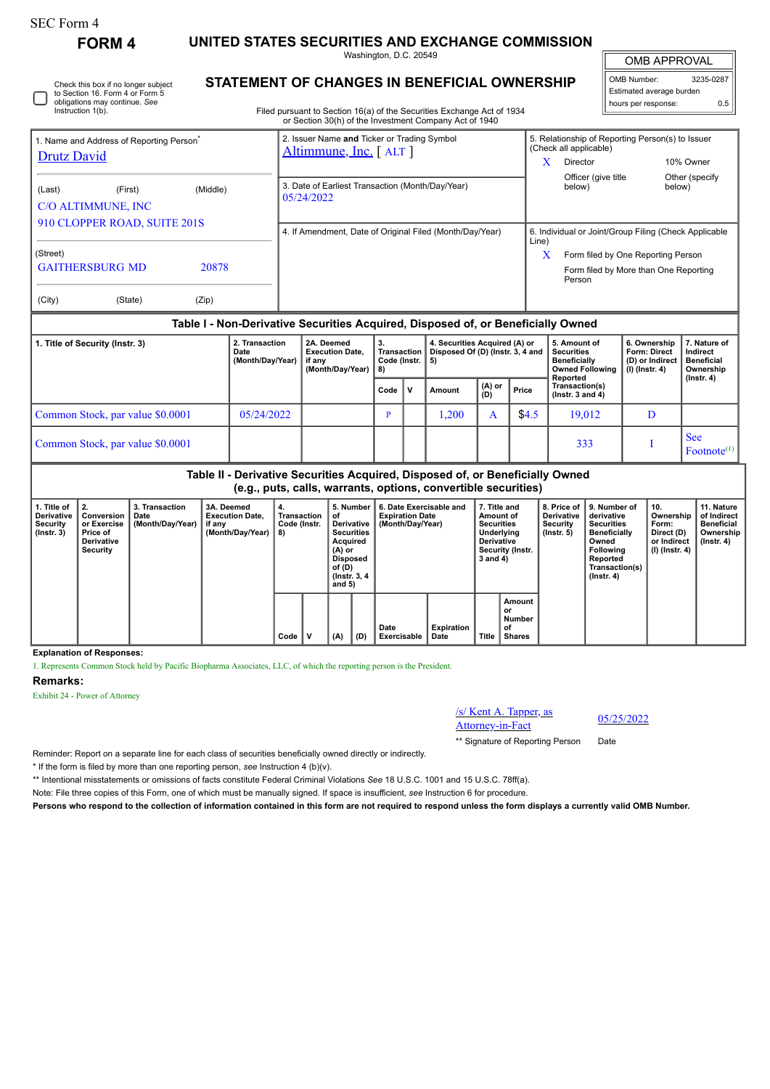# SEC Form 4

**FORM 4 UNITED STATES SECURITIES AND EXCHANGE COMMISSION**

Washington, D.C. 20549 **STATEMENT OF CHANGES IN BENEFICIAL OWNERSHIP**

OMB APPROVAL

 $\mathbb{I}$ 

| OMB Number:              | 3235-0287 |  |  |  |  |  |  |  |
|--------------------------|-----------|--|--|--|--|--|--|--|
| Estimated average burden |           |  |  |  |  |  |  |  |
| hours per response:      | ሰ 5       |  |  |  |  |  |  |  |
|                          |           |  |  |  |  |  |  |  |

| <b>ODIGATORS INCY CONTINUE.</b> OCC<br>Instruction 1(b).            |                        |       | Filed pursuant to Section 16(a) of the Securities Exchange Act of 1934 |                        | nours per response:<br>U.5         |                                                       |  |  |  |
|---------------------------------------------------------------------|------------------------|-------|------------------------------------------------------------------------|------------------------|------------------------------------|-------------------------------------------------------|--|--|--|
|                                                                     |                        |       | or Section 30(h) of the Investment Company Act of 1940                 |                        |                                    |                                                       |  |  |  |
| 1. Name and Address of Reporting Person <sup>®</sup><br>Drutz David |                        |       | 2. Issuer Name and Ticker or Trading Symbol<br>Altimmune, Inc. [ALT]   | (Check all applicable) |                                    | 5. Relationship of Reporting Person(s) to Issuer      |  |  |  |
|                                                                     |                        |       |                                                                        | X                      | Director                           | 10% Owner                                             |  |  |  |
| (Middle)<br>(Last)<br>(First)                                       |                        |       | 3. Date of Earliest Transaction (Month/Day/Year)<br>05/24/2022         | below)                 | Officer (give title                | Other (specify)<br>below)                             |  |  |  |
|                                                                     | C/O ALTIMMUNE, INC     |       |                                                                        |                        |                                    |                                                       |  |  |  |
| 910 CLOPPER ROAD, SUITE 201S                                        |                        |       |                                                                        |                        |                                    |                                                       |  |  |  |
|                                                                     |                        |       | 4. If Amendment, Date of Original Filed (Month/Day/Year)               | Line)                  |                                    | 6. Individual or Joint/Group Filing (Check Applicable |  |  |  |
| (Street)                                                            |                        |       |                                                                        |                        | Form filed by One Reporting Person |                                                       |  |  |  |
|                                                                     | <b>GAITHERSBURG MD</b> | 20878 |                                                                        | Person                 |                                    | Form filed by More than One Reporting                 |  |  |  |
| (City)                                                              | (State)                | (Zip) |                                                                        |                        |                                    |                                                       |  |  |  |

### **Table I - Non-Derivative Securities Acquired, Disposed of, or Beneficially Owned**

| 1. Title of Security (Instr. 3)  | 2. Transaction<br>Date<br>(Month/Day/Year) | 2A. Deemed<br><b>Execution Date.</b><br>if anv<br>(Month/Day/Year) | Transaction  <br>Code (Instr. $\vert 5 \rangle$<br>-8) |              | 4. Securities Acquired (A) or<br>Disposed Of (D) (Instr. 3, 4 and |                 |       | 5. Amount of<br><b>Securities</b><br><b>Beneficially</b><br><b>Owned Following</b><br>Reported | 6. Ownership<br><b>Form: Direct</b><br>(D) or Indirect<br>(I) (Instr. 4) | 7. Nature of<br>Indirect<br><b>Beneficial</b><br>Ownership<br>(Instr. 4) |
|----------------------------------|--------------------------------------------|--------------------------------------------------------------------|--------------------------------------------------------|--------------|-------------------------------------------------------------------|-----------------|-------|------------------------------------------------------------------------------------------------|--------------------------------------------------------------------------|--------------------------------------------------------------------------|
|                                  |                                            |                                                                    | Code                                                   | $\mathbf{v}$ | Amount                                                            | $(A)$ or<br>(D) | Price | Transaction(s)<br>( $lnstr. 3 and 4$ )                                                         |                                                                          |                                                                          |
| Common Stock, par value \$0.0001 | 05/24/2022                                 |                                                                    | P                                                      |              | .200                                                              | A               | \$4.5 | 19,012                                                                                         |                                                                          |                                                                          |
| Common Stock, par value \$0.0001 |                                            |                                                                    |                                                        |              |                                                                   |                 |       | 333                                                                                            |                                                                          | <b>See</b><br>Footnote <sup>(1)</sup>                                    |

**Table II - Derivative Securities Acquired, Disposed of, or Beneficially Owned (e.g., puts, calls, warrants, options, convertible securities)**

| 1. Title of<br>Derivative<br>Security<br>$($ lnstr. 3 $)$ | 2.<br>Conversion<br>or Exercise<br>Price of<br><b>Derivative</b><br>Security | 3. Transaction<br>Date<br>(Month/Day/Year) | 3A. Deemed<br><b>Execution Date.</b><br>i if any<br>(Month/Day/Year) | 4.<br>Transaction<br>Code (Instr.<br>8) | 5. Number<br>οf<br><b>Derivative</b><br><b>Securities</b><br>Acquired<br>(A) or<br>Disposed<br>of (D)<br>(Instr. 3, 4)<br>and 5) |     | 6. Date Exercisable and<br><b>Expiration Date</b><br>(Month/Day/Year) | 7. Title and<br>Amount of<br><b>Securities</b><br>Underlying<br><b>Derivative</b><br>Security (Instr.<br>3 and 4) |       | <b>Derivative</b><br>Security<br>$($ lnstr. 5 $)$ | 8. Price of 19. Number of<br>derivative<br><b>Securities</b><br><b>Beneficially</b><br>Owned<br><b>Following</b><br>Reported<br>Transaction(s)<br>$($ Instr. 4 $)$ | 10.<br>Ownership<br>Form:<br>Direct (D)<br>or Indirect<br>(I) (Instr. 4) | 11. Nature<br>of Indirect<br><b>Beneficial</b><br>Ownership<br>(Instr. 4) |  |
|-----------------------------------------------------------|------------------------------------------------------------------------------|--------------------------------------------|----------------------------------------------------------------------|-----------------------------------------|----------------------------------------------------------------------------------------------------------------------------------|-----|-----------------------------------------------------------------------|-------------------------------------------------------------------------------------------------------------------|-------|---------------------------------------------------|--------------------------------------------------------------------------------------------------------------------------------------------------------------------|--------------------------------------------------------------------------|---------------------------------------------------------------------------|--|
|                                                           |                                                                              |                                            |                                                                      | Code                                    | (A)                                                                                                                              | (D) | Date<br>Exercisable                                                   | <b>Expiration</b><br>Date                                                                                         | Title | Amount<br>or<br>Number<br>of<br><b>Shares</b>     |                                                                                                                                                                    |                                                                          |                                                                           |  |

**Explanation of Responses:**

1. Represents Common Stock held by Pacific Biopharma Associates, LLC, of which the reporting person is the President.

#### **Remarks:**

Exhibit 24 - Power of Attorney



\*\* Signature of Reporting Person Date

Reminder: Report on a separate line for each class of securities beneficially owned directly or indirectly.

\* If the form is filed by more than one reporting person, *see* Instruction 4 (b)(v).

\*\* Intentional misstatements or omissions of facts constitute Federal Criminal Violations *See* 18 U.S.C. 1001 and 15 U.S.C. 78ff(a).

Note: File three copies of this Form, one of which must be manually signed. If space is insufficient, *see* Instruction 6 for procedure.

**Persons who respond to the collection of information contained in this form are not required to respond unless the form displays a currently valid OMB Number.**

Check this box if no longer subject to Section 16. Form 4 or Form 5 obligations may continue. *See* Instruction 1(b).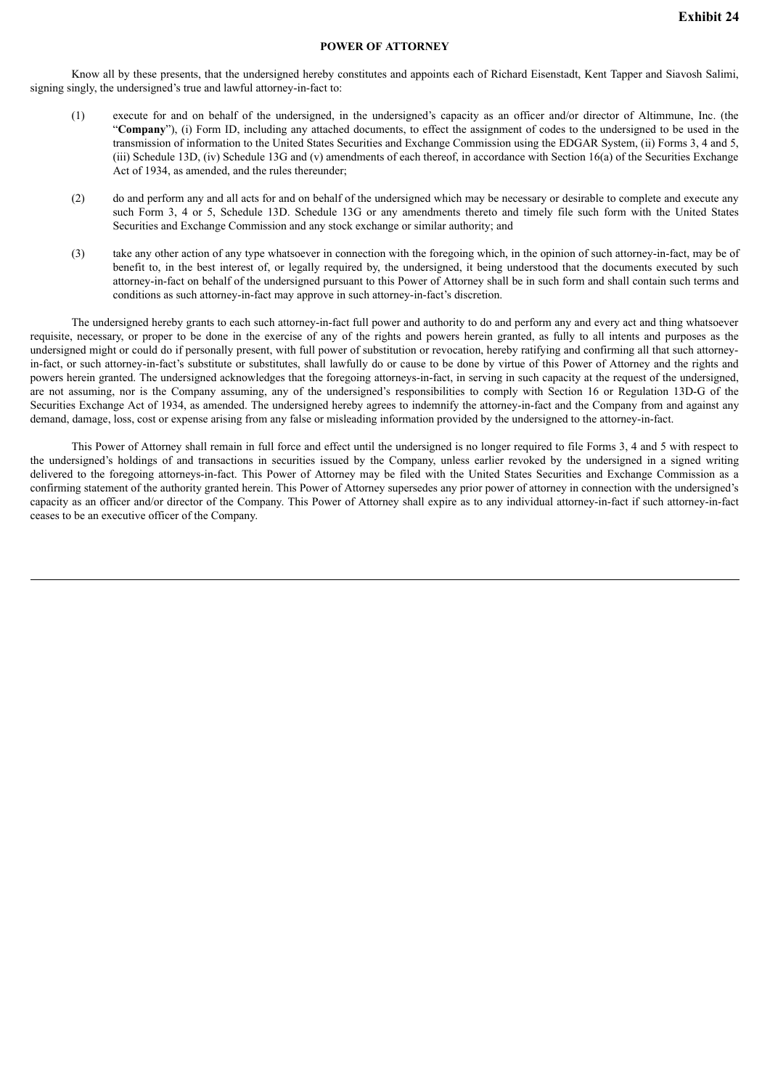## **POWER OF ATTORNEY**

Know all by these presents, that the undersigned hereby constitutes and appoints each of Richard Eisenstadt, Kent Tapper and Siavosh Salimi, signing singly, the undersigned's true and lawful attorney-in-fact to:

- (1) execute for and on behalf of the undersigned, in the undersigned's capacity as an officer and/or director of Altimmune, Inc. (the "**Company**"), (i) Form ID, including any attached documents, to effect the assignment of codes to the undersigned to be used in the transmission of information to the United States Securities and Exchange Commission using the EDGAR System, (ii) Forms 3, 4 and 5, (iii) Schedule 13D, (iv) Schedule 13G and (v) amendments of each thereof, in accordance with Section 16(a) of the Securities Exchange Act of 1934, as amended, and the rules thereunder;
- (2) do and perform any and all acts for and on behalf of the undersigned which may be necessary or desirable to complete and execute any such Form 3, 4 or 5, Schedule 13D. Schedule 13G or any amendments thereto and timely file such form with the United States Securities and Exchange Commission and any stock exchange or similar authority; and
- (3) take any other action of any type whatsoever in connection with the foregoing which, in the opinion of such attorney-in-fact, may be of benefit to, in the best interest of, or legally required by, the undersigned, it being understood that the documents executed by such attorney-in-fact on behalf of the undersigned pursuant to this Power of Attorney shall be in such form and shall contain such terms and conditions as such attorney-in-fact may approve in such attorney-in-fact's discretion.

The undersigned hereby grants to each such attorney-in-fact full power and authority to do and perform any and every act and thing whatsoever requisite, necessary, or proper to be done in the exercise of any of the rights and powers herein granted, as fully to all intents and purposes as the undersigned might or could do if personally present, with full power of substitution or revocation, hereby ratifying and confirming all that such attorneyin-fact, or such attorney-in-fact's substitute or substitutes, shall lawfully do or cause to be done by virtue of this Power of Attorney and the rights and powers herein granted. The undersigned acknowledges that the foregoing attorneys-in-fact, in serving in such capacity at the request of the undersigned, are not assuming, nor is the Company assuming, any of the undersigned's responsibilities to comply with Section 16 or Regulation 13D-G of the Securities Exchange Act of 1934, as amended. The undersigned hereby agrees to indemnify the attorney-in-fact and the Company from and against any demand, damage, loss, cost or expense arising from any false or misleading information provided by the undersigned to the attorney-in-fact.

This Power of Attorney shall remain in full force and effect until the undersigned is no longer required to file Forms 3, 4 and 5 with respect to the undersigned's holdings of and transactions in securities issued by the Company, unless earlier revoked by the undersigned in a signed writing delivered to the foregoing attorneys-in-fact. This Power of Attorney may be filed with the United States Securities and Exchange Commission as a confirming statement of the authority granted herein. This Power of Attorney supersedes any prior power of attorney in connection with the undersigned's capacity as an officer and/or director of the Company. This Power of Attorney shall expire as to any individual attorney-in-fact if such attorney-in-fact ceases to be an executive officer of the Company.